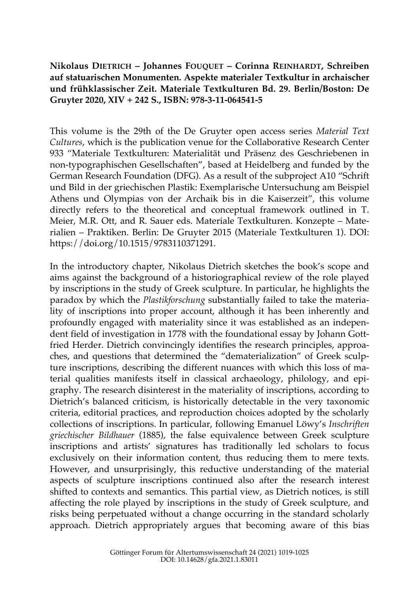**Nikolaus DIETRICH – Johannes FOUQUET – Corinna REINHARDT, Schreiben auf statuarischen Monumenten. Aspekte materialer Textkultur in archaischer und frühklassischer Zeit. Materiale Textkulturen Bd. 29. Berlin/Boston: De Gruyter 2020, XIV + 242 S., ISBN: 978-3-11-064541-5**

This volume is the 29th of the De Gruyter open access series *Material Text Cultures*, which is the publication venue for the Collaborative Research Center 933 "Materiale Textkulturen: Materialität und Präsenz des Geschriebenen in non-typographischen Gesellschaften", based at Heidelberg and funded by the German Research Foundation (DFG). As a result of the subproject A10 "Schrift und Bild in der griechischen Plastik: Exemplarische Untersuchung am Beispiel Athens und Olympias von der Archaik bis in die Kaiserzeit", this volume directly refers to the theoretical and conceptual framework outlined in T. Meier, M.R. Ott, and R. Sauer eds. Materiale Textkulturen. Konzepte – Materialien – Praktiken. Berlin: De Gruyter 2015 (Materiale Textkulturen 1). DOI: https://doi.org/10.1515/9783110371291.

In the introductory chapter, Nikolaus Dietrich sketches the book's scope and aims against the background of a historiographical review of the role played by inscriptions in the study of Greek sculpture. In particular, he highlights the paradox by which the *Plastikforschung* substantially failed to take the materiality of inscriptions into proper account, although it has been inherently and profoundly engaged with materiality since it was established as an independent field of investigation in 1778 with the foundational essay by Johann Gottfried Herder. Dietrich convincingly identifies the research principles, approaches, and questions that determined the "dematerialization" of Greek sculpture inscriptions, describing the different nuances with which this loss of material qualities manifests itself in classical archaeology, philology, and epigraphy. The research disinterest in the materiality of inscriptions, according to Dietrich's balanced criticism, is historically detectable in the very taxonomic criteria, editorial practices, and reproduction choices adopted by the scholarly collections of inscriptions. In particular, following Emanuel Löwy's *Inschriften griechischer Bildhauer* (1885), the false equivalence between Greek sculpture inscriptions and artists' signatures has traditionally led scholars to focus exclusively on their information content, thus reducing them to mere texts. However, and unsurprisingly, this reductive understanding of the material aspects of sculpture inscriptions continued also after the research interest shifted to contexts and semantics. This partial view, as Dietrich notices, is still affecting the role played by inscriptions in the study of Greek sculpture, and risks being perpetuated without a change occurring in the standard scholarly approach. Dietrich appropriately argues that becoming aware of this bias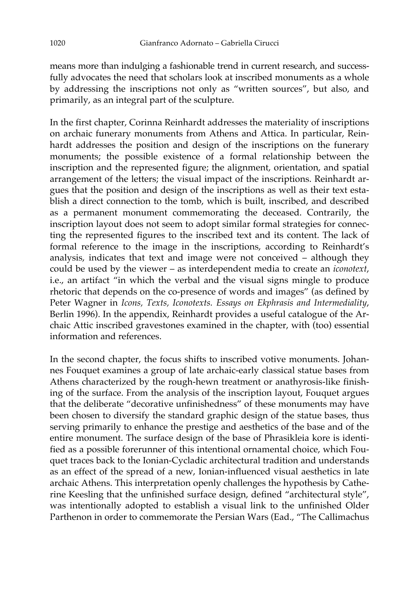means more than indulging a fashionable trend in current research, and successfully advocates the need that scholars look at inscribed monuments as a whole by addressing the inscriptions not only as "written sources", but also, and primarily, as an integral part of the sculpture.

In the first chapter, Corinna Reinhardt addresses the materiality of inscriptions on archaic funerary monuments from Athens and Attica. In particular, Reinhardt addresses the position and design of the inscriptions on the funerary monuments; the possible existence of a formal relationship between the inscription and the represented figure; the alignment, orientation, and spatial arrangement of the letters; the visual impact of the inscriptions. Reinhardt argues that the position and design of the inscriptions as well as their text establish a direct connection to the tomb, which is built, inscribed, and described as a permanent monument commemorating the deceased. Contrarily, the inscription layout does not seem to adopt similar formal strategies for connecting the represented figures to the inscribed text and its content. The lack of formal reference to the image in the inscriptions, according to Reinhardt's analysis, indicates that text and image were not conceived – although they could be used by the viewer – as interdependent media to create an *iconotext*, i.e., an artifact "in which the verbal and the visual signs mingle to produce rhetoric that depends on the co-presence of words and images" (as defined by Peter Wagner in *Icons, Texts, Iconotexts. Essays on Ekphrasis and Intermediality*, Berlin 1996). In the appendix, Reinhardt provides a useful catalogue of the Archaic Attic inscribed gravestones examined in the chapter, with (too) essential information and references.

In the second chapter, the focus shifts to inscribed votive monuments. Johannes Fouquet examines a group of late archaic-early classical statue bases from Athens characterized by the rough-hewn treatment or anathyrosis-like finishing of the surface. From the analysis of the inscription layout, Fouquet argues that the deliberate "decorative unfinishedness" of these monuments may have been chosen to diversify the standard graphic design of the statue bases, thus serving primarily to enhance the prestige and aesthetics of the base and of the entire monument. The surface design of the base of Phrasikleia kore is identified as a possible forerunner of this intentional ornamental choice, which Fouquet traces back to the Ionian-Cycladic architectural tradition and understands as an effect of the spread of a new, Ionian-influenced visual aesthetics in late archaic Athens. This interpretation openly challenges the hypothesis by Catherine Keesling that the unfinished surface design, defined "architectural style", was intentionally adopted to establish a visual link to the unfinished Older Parthenon in order to commemorate the Persian Wars (Ead., "The Callimachus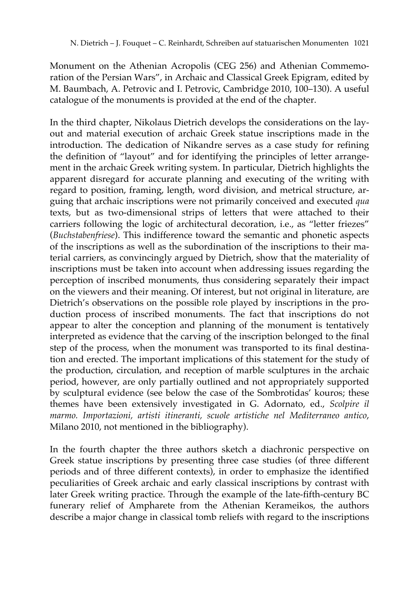Monument on the Athenian Acropolis (CEG 256) and Athenian Commemoration of the Persian Wars", in Archaic and Classical Greek Epigram, edited by M. Baumbach, A. Petrovic and I. Petrovic, Cambridge 2010, 100–130). A useful catalogue of the monuments is provided at the end of the chapter.

In the third chapter, Nikolaus Dietrich develops the considerations on the layout and material execution of archaic Greek statue inscriptions made in the introduction. The dedication of Nikandre serves as a case study for refining the definition of "layout" and for identifying the principles of letter arrangement in the archaic Greek writing system. In particular, Dietrich highlights the apparent disregard for accurate planning and executing of the writing with regard to position, framing, length, word division, and metrical structure, arguing that archaic inscriptions were not primarily conceived and executed *qua* texts, but as two-dimensional strips of letters that were attached to their carriers following the logic of architectural decoration, i.e., as "letter friezes" (*Buchstabenfriese*). This indifference toward the semantic and phonetic aspects of the inscriptions as well as the subordination of the inscriptions to their material carriers, as convincingly argued by Dietrich, show that the materiality of inscriptions must be taken into account when addressing issues regarding the perception of inscribed monuments, thus considering separately their impact on the viewers and their meaning. Of interest, but not original in literature, are Dietrich's observations on the possible role played by inscriptions in the production process of inscribed monuments. The fact that inscriptions do not appear to alter the conception and planning of the monument is tentatively interpreted as evidence that the carving of the inscription belonged to the final step of the process, when the monument was transported to its final destination and erected. The important implications of this statement for the study of the production, circulation, and reception of marble sculptures in the archaic period, however, are only partially outlined and not appropriately supported by sculptural evidence (see below the case of the Sombrotidas' kouros; these themes have been extensively investigated in G. Adornato, ed., *Scolpire il marmo. Importazioni, artisti itineranti, scuole artistiche nel Mediterraneo antico*, Milano 2010, not mentioned in the bibliography).

In the fourth chapter the three authors sketch a diachronic perspective on Greek statue inscriptions by presenting three case studies (of three different periods and of three different contexts), in order to emphasize the identified peculiarities of Greek archaic and early classical inscriptions by contrast with later Greek writing practice. Through the example of the late-fifth-century BC funerary relief of Ampharete from the Athenian Kerameikos, the authors describe a major change in classical tomb reliefs with regard to the inscriptions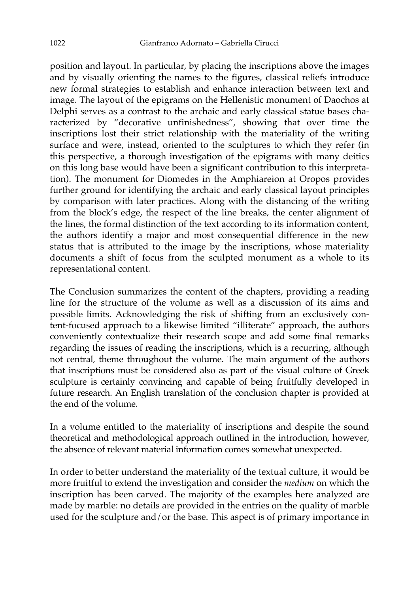position and layout. In particular, by placing the inscriptions above the images and by visually orienting the names to the figures, classical reliefs introduce new formal strategies to establish and enhance interaction between text and image. The layout of the epigrams on the Hellenistic monument of Daochos at Delphi serves as a contrast to the archaic and early classical statue bases characterized by "decorative unfinishedness", showing that over time the inscriptions lost their strict relationship with the materiality of the writing surface and were, instead, oriented to the sculptures to which they refer (in this perspective, a thorough investigation of the epigrams with many deitics on this long base would have been a significant contribution to this interpretation). The monument for Diomedes in the Amphiareion at Oropos provides further ground for identifying the archaic and early classical layout principles by comparison with later practices. Along with the distancing of the writing from the block's edge, the respect of the line breaks, the center alignment of the lines, the formal distinction of the text according to its information content, the authors identify a major and most consequential difference in the new status that is attributed to the image by the inscriptions, whose materiality documents a shift of focus from the sculpted monument as a whole to its representational content.

The Conclusion summarizes the content of the chapters, providing a reading line for the structure of the volume as well as a discussion of its aims and possible limits. Acknowledging the risk of shifting from an exclusively content-focused approach to a likewise limited "illiterate" approach, the authors conveniently contextualize their research scope and add some final remarks regarding the issues of reading the inscriptions, which is a recurring, although not central, theme throughout the volume. The main argument of the authors that inscriptions must be considered also as part of the visual culture of Greek sculpture is certainly convincing and capable of being fruitfully developed in future research. An English translation of the conclusion chapter is provided at the end of the volume.

In a volume entitled to the materiality of inscriptions and despite the sound theoretical and methodological approach outlined in the introduction, however, the absence of relevant material information comes somewhat unexpected.

In order to better understand the materiality of the textual culture, it would be more fruitful to extend the investigation and consider the *medium* on which the inscription has been carved. The majority of the examples here analyzed are made by marble: no details are provided in the entries on the quality of marble used for the sculpture and/or the base. This aspect is of primary importance in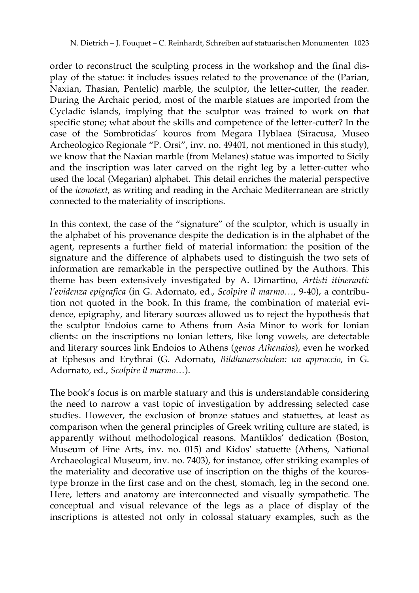order to reconstruct the sculpting process in the workshop and the final display of the statue: it includes issues related to the provenance of the (Parian, Naxian, Thasian, Pentelic) marble, the sculptor, the letter-cutter, the reader. During the Archaic period, most of the marble statues are imported from the Cycladic islands, implying that the sculptor was trained to work on that specific stone; what about the skills and competence of the letter-cutter? In the case of the Sombrotidas' kouros from Megara Hyblaea (Siracusa, Museo Archeologico Regionale "P. Orsi", inv. no. 49401, not mentioned in this study), we know that the Naxian marble (from Melanes) statue was imported to Sicily and the inscription was later carved on the right leg by a letter-cutter who used the local (Megarian) alphabet. This detail enriches the material perspective of the *iconotext*, as writing and reading in the Archaic Mediterranean are strictly connected to the materiality of inscriptions.

In this context, the case of the "signature" of the sculptor, which is usually in the alphabet of his provenance despite the dedication is in the alphabet of the agent, represents a further field of material information: the position of the signature and the difference of alphabets used to distinguish the two sets of information are remarkable in the perspective outlined by the Authors. This theme has been extensively investigated by A. Dimartino, *Artisti itineranti: l'evidenza epigrafica* (in G. Adornato, ed., *Scolpire il marmo…*, 9-40), a contribution not quoted in the book. In this frame, the combination of material evidence, epigraphy, and literary sources allowed us to reject the hypothesis that the sculptor Endoios came to Athens from Asia Minor to work for Ionian clients: on the inscriptions no Ionian letters, like long vowels, are detectable and literary sources link Endoios to Athens (*genos Athenaios*), even he worked at Ephesos and Erythrai (G. Adornato, *Bildhauerschulen: un approccio*, in G. Adornato, ed., *Scolpire il marmo…*).

The book's focus is on marble statuary and this is understandable considering the need to narrow a vast topic of investigation by addressing selected case studies. However, the exclusion of bronze statues and statuettes, at least as comparison when the general principles of Greek writing culture are stated, is apparently without methodological reasons. Mantiklos' dedication (Boston, Museum of Fine Arts, inv. no. 015) and Kidos' statuette (Athens, National Archaeological Museum, inv. no. 7403), for instance, offer striking examples of the materiality and decorative use of inscription on the thighs of the kourostype bronze in the first case and on the chest, stomach, leg in the second one. Here, letters and anatomy are interconnected and visually sympathetic. The conceptual and visual relevance of the legs as a place of display of the inscriptions is attested not only in colossal statuary examples, such as the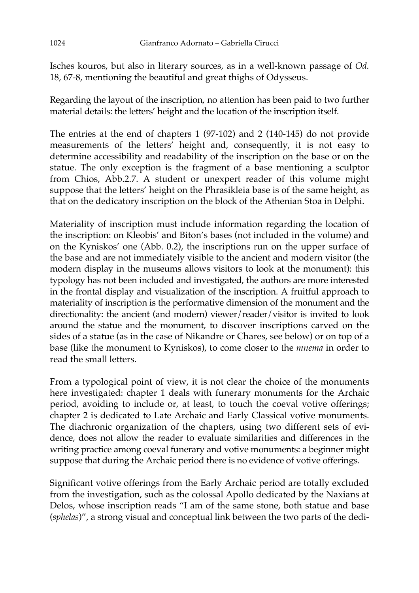Isches kouros, but also in literary sources, as in a well-known passage of *Od.* 18, 67-8, mentioning the beautiful and great thighs of Odysseus.

Regarding the layout of the inscription, no attention has been paid to two further material details: the letters' height and the location of the inscription itself.

The entries at the end of chapters 1 (97-102) and 2 (140-145) do not provide measurements of the letters' height and, consequently, it is not easy to determine accessibility and readability of the inscription on the base or on the statue. The only exception is the fragment of a base mentioning a sculptor from Chios, Abb.2.7. A student or unexpert reader of this volume might suppose that the letters' height on the Phrasikleia base is of the same height, as that on the dedicatory inscription on the block of the Athenian Stoa in Delphi.

Materiality of inscription must include information regarding the location of the inscription: on Kleobis' and Biton's bases (not included in the volume) and on the Kyniskos' one (Abb. 0.2), the inscriptions run on the upper surface of the base and are not immediately visible to the ancient and modern visitor (the modern display in the museums allows visitors to look at the monument): this typology has not been included and investigated, the authors are more interested in the frontal display and visualization of the inscription. A fruitful approach to materiality of inscription is the performative dimension of the monument and the directionality: the ancient (and modern) viewer/reader/visitor is invited to look around the statue and the monument, to discover inscriptions carved on the sides of a statue (as in the case of Nikandre or Chares, see below) or on top of a base (like the monument to Kyniskos), to come closer to the *mnema* in order to read the small letters.

From a typological point of view, it is not clear the choice of the monuments here investigated: chapter 1 deals with funerary monuments for the Archaic period, avoiding to include or, at least, to touch the coeval votive offerings; chapter 2 is dedicated to Late Archaic and Early Classical votive monuments. The diachronic organization of the chapters, using two different sets of evidence, does not allow the reader to evaluate similarities and differences in the writing practice among coeval funerary and votive monuments: a beginner might suppose that during the Archaic period there is no evidence of votive offerings.

Significant votive offerings from the Early Archaic period are totally excluded from the investigation, such as the colossal Apollo dedicated by the Naxians at Delos, whose inscription reads "I am of the same stone, both statue and base (*sphelas*)", a strong visual and conceptual link between the two parts of the dedi-